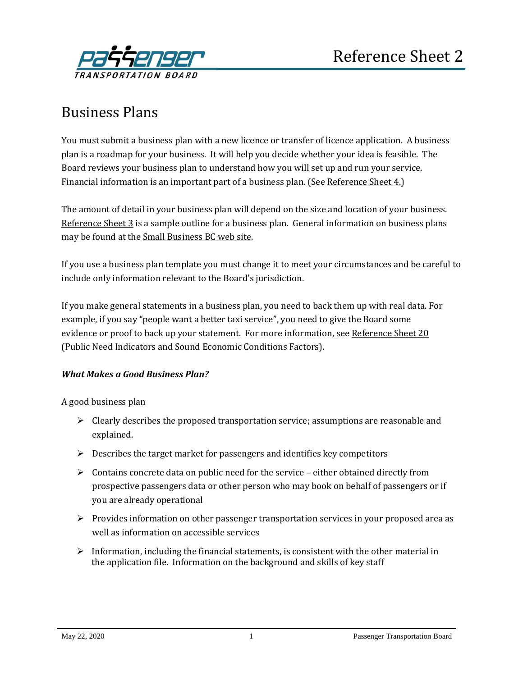

## Business Plans

You must submit a business plan with a new licence or transfer of licence application. A business plan is a roadmap for your business. It will help you decide whether your idea is feasible. The Board reviews your business plan to understand how you will set up and run your service. Financial information is an important part of a business plan. (See [Reference Sheet](http://www.th.gov.bc.ca/forms/getForm.aspx?formId=1194) 4.)

The amount of detail in your business plan will depend on the size and location of your business. [Reference Sheet](http://www.th.gov.bc.ca/forms/getForm.aspx?formId=1195) 3 is a sample outline for a business plan. General information on business plans may be found at the [Small Business BC web site.](https://smallbusinessbc.ca/)

If you use a business plan template you must change it to meet your circumstances and be careful to include only information relevant to the Board's jurisdiction.

If you make general statements in a business plan, you need to back them up with real data. For example, if you say "people want a better taxi service", you need to give the Board some evidence or proof to back up your statement. For more information, see [Reference Sheet 20](http://www.th.gov.bc.ca/forms/getForm.aspx?formId=1463) (Public Need Indicators and Sound Economic Conditions Factors).

## *What Makes a Good Business Plan?*

A good business plan

- $\triangleright$  Clearly describes the proposed transportation service; assumptions are reasonable and explained.
- $\triangleright$  Describes the target market for passengers and identifies key competitors
- $\triangleright$  Contains concrete data on public need for the service either obtained directly from prospective passengers data or other person who may book on behalf of passengers or if you are already operational
- $\triangleright$  Provides information on other passenger transportation services in your proposed area as well as information on accessible services
- $\triangleright$  Information, including the financial statements, is consistent with the other material in the application file. Information on the background and skills of key staff